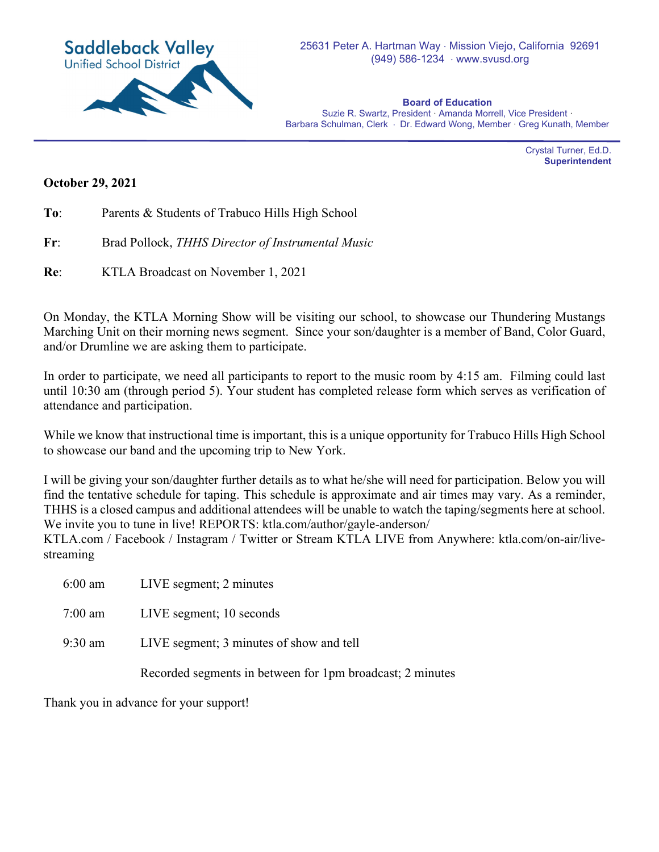

**Board of Education**  Suzie R. Swartz, President · Amanda Morrell, Vice President · Barbara Schulman, Clerk · Dr. Edward Wong, Member · Greg Kunath, Member

> Crystal Turner, Ed.D. **Superintendent**

## **October 29, 2021**

- **To**: Parents & Students of Trabuco Hills High School
- **Fr**: Brad Pollock, *THHS Director of Instrumental Music*
- **Re**: KTLA Broadcast on November 1, 2021

On Monday, the KTLA Morning Show will be visiting our school, to showcase our Thundering Mustangs Marching Unit on their morning news segment. Since your son/daughter is a member of Band, Color Guard, and/or Drumline we are asking them to participate.

In order to participate, we need all participants to report to the music room by 4:15 am. Filming could last until 10:30 am (through period 5). Your student has completed release form which serves as verification of attendance and participation.

While we know that instructional time is important, this is a unique opportunity for Trabuco Hills High School to showcase our band and the upcoming trip to New York.

I will be giving your son/daughter further details as to what he/she will need for participation. Below you will find the tentative schedule for taping. This schedule is approximate and air times may vary. As a reminder, THHS is a closed campus and additional attendees will be unable to watch the taping/segments here at school. We invite you to tune in live! REPORTS: ktla.com/author/gayle-anderson/

KTLA.com / Facebook / Instagram / Twitter or Stream KTLA LIVE from Anywhere: ktla.com/on-air/livestreaming

| $6:00 \text{ am}$ | LIVE segment; 2 minutes                                   |
|-------------------|-----------------------------------------------------------|
| 7:00 am           | LIVE segment; 10 seconds                                  |
| 9:30 am           | LIVE segment; 3 minutes of show and tell                  |
|                   | Recorded segments in between for 1pm broadcast; 2 minutes |

Thank you in advance for your support!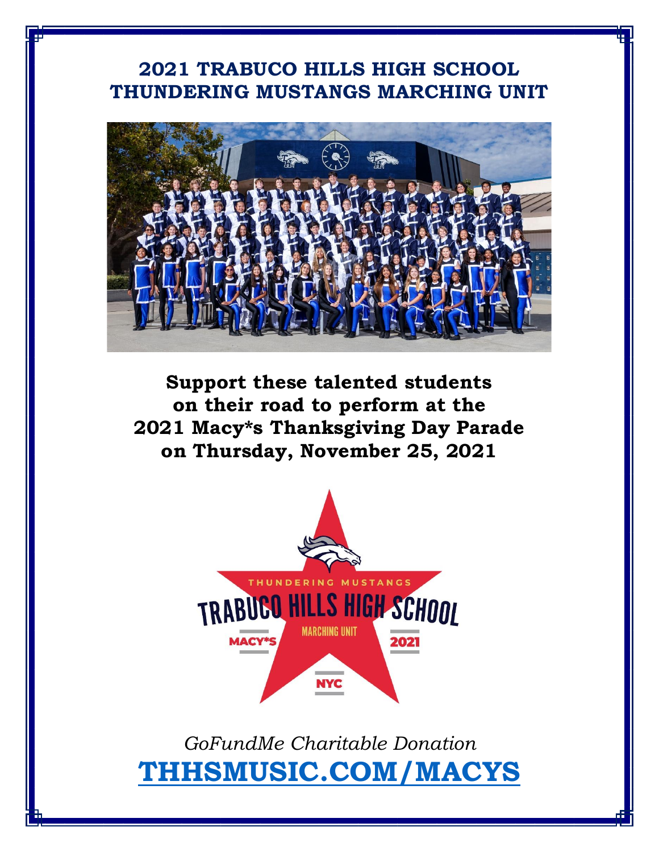## **2021 TRABUCO HILLS HIGH SCHOOL THUNDERING MUSTANGS MARCHING UNIT**



**Support these talented students on their road to perform at the 2021 Macy\*s Thanksgiving Day Parade on Thursday, November 25, 2021**



*GoFundMe Charitable Donation* **[THHSMUSIC.COM/MACYS](http://thhsmusic.com/MACYS)**